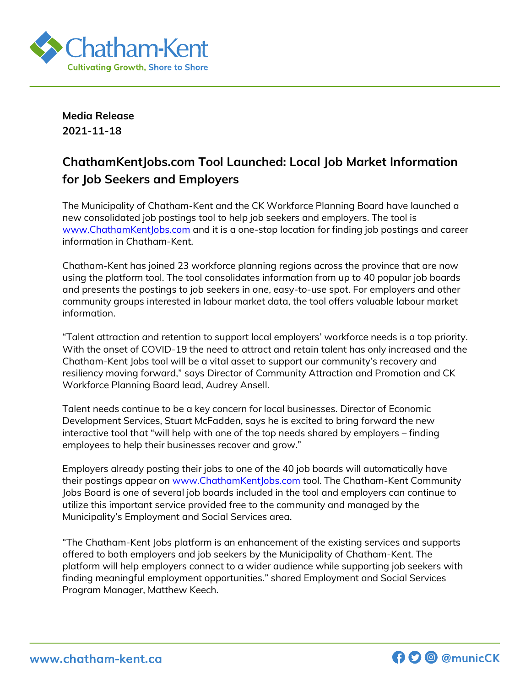

**Media Release 2021-11-18**

## **ChathamKentJobs.com Tool Launched: Local Job Market Information for Job Seekers and Employers**

The Municipality of Chatham-Kent and the CK Workforce Planning Board have launched a new consolidated job postings tool to help job seekers and employers. The tool is [www.ChathamKentJobs.com](http://www.chathamkentjobs.com/) and it is a one-stop location for finding job postings and career information in Chatham-Kent.

Chatham-Kent has joined 23 workforce planning regions across the province that are now using the platform tool. The tool consolidates information from up to 40 popular job boards and presents the postings to job seekers in one, easy-to-use spot. For employers and other community groups interested in labour market data, the tool offers valuable labour market information.

"Talent attraction and retention to support local employers' workforce needs is a top priority. With the onset of COVID-19 the need to attract and retain talent has only increased and the Chatham-Kent Jobs tool will be a vital asset to support our community's recovery and resiliency moving forward," says Director of Community Attraction and Promotion and CK Workforce Planning Board lead, Audrey Ansell.

Talent needs continue to be a key concern for local businesses. Director of Economic Development Services, Stuart McFadden, says he is excited to bring forward the new interactive tool that "will help with one of the top needs shared by employers – finding employees to help their businesses recover and grow."

Employers already posting their jobs to one of the 40 job boards will automatically have their postings appear on [www.ChathamKentJobs.com](http://www.chathamkentjobs.com/) tool. The Chatham-Kent Community Jobs Board is one of several job boards included in the tool and employers can continue to utilize this important service provided free to the community and managed by the Municipality's Employment and Social Services area.

"The Chatham-Kent Jobs platform is an enhancement of the existing services and supports offered to both employers and job seekers by the Municipality of Chatham-Kent. The platform will help employers connect to a wider audience while supporting job seekers with finding meaningful employment opportunities." shared Employment and Social Services Program Manager, Matthew Keech.

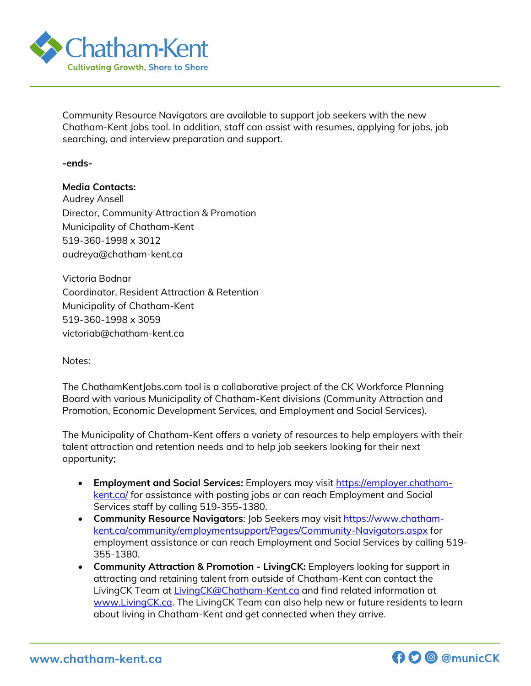

Community Resource Navigators are available to support job seekers with the new Chatham-Kent Jobs tool. In addition, staff can assist with resumes, applying for jobs, job searching, and interview preparation and support.

**-ends-**

## **Media Contacts:**

Audrey Ansell Director, Community Attraction & Promotion Municipality of Chatham-Kent 519-360-1998 x 3012 audreya@chatham-kent.ca

Victoria Bodnar Coordinator, Resident Attraction & Retention Municipality of Chatham-Kent 519-360-1998 x 3059 victoriab@chatham-kent.ca

Notes:

The ChathamKentJobs.com tool is a collaborative project of the CK Workforce Planning Board with various Municipality of Chatham-Kent divisions (Community Attraction and Promotion, Economic Development Services, and Employment and Social Services).

The Municipality of Chatham-Kent offers a variety of resources to help employers with their talent attraction and retention needs and to help job seekers looking for their next opportunity;

- **Employment and Social Services:** Employers may visit [https://employer.chatham](https://employer.chatham-kent.ca/)[kent.ca/](https://employer.chatham-kent.ca/) for assistance with posting jobs or can reach Employment and Social Services staff by calling 519-355-1380.
- **Community Resource Navigators**: Job Seekers may visit [https://www.chatham](https://www.chatham-kent.ca/community/employmentsupport/Pages/Community-Navigators.aspx)[kent.ca/community/employmentsupport/Pages/Community-Navigators.aspx](https://www.chatham-kent.ca/community/employmentsupport/Pages/Community-Navigators.aspx) for employment assistance or can reach Employment and Social Services by calling 519- 355-1380.
- **Community Attraction & Promotion - LivingCK:** Employers looking for support in attracting and retaining talent from outside of Chatham-Kent can contact the LivingCK Team at *LivingCK@Chatham-Kent.ca* and find related information at [www.LivingCK.ca.](http://www.livingck.ca/) The LivingCK Team can also help new or future residents to learn about living in Chatham-Kent and get connected when they arrive.